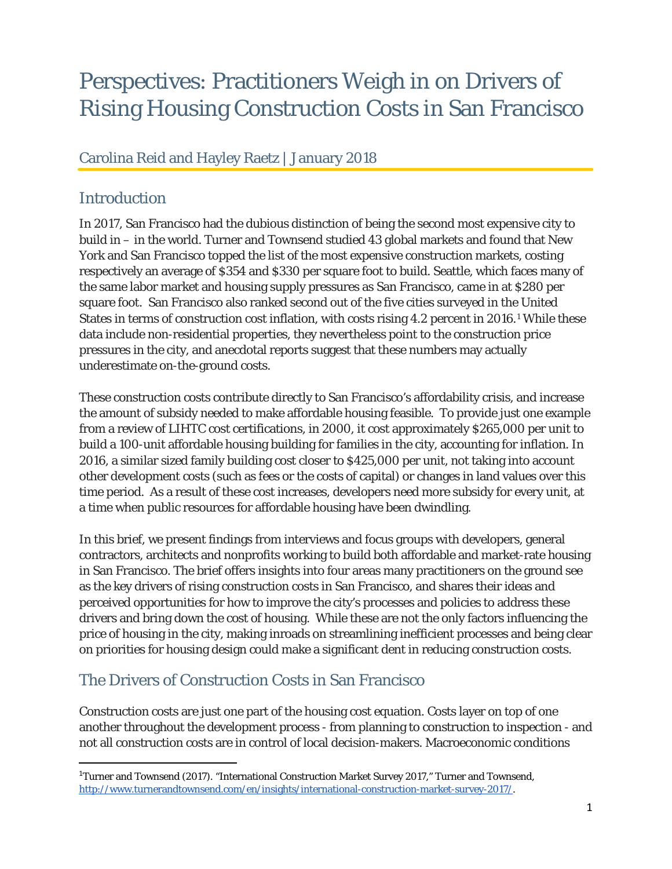# Perspectives: Practitioners Weigh in on Drivers of Rising Housing Construction Costs in San Francisco

# Carolina Reid and Hayley Raetz | January 2018

# **Introduction**

In 2017, San Francisco had the dubious distinction of being the second most expensive city to build in – in the world. Turner and Townsend studied 43 global markets and found that New York and San Francisco topped the list of the most expensive construction markets, costing respectively an average of \$354 and \$330 per square foot to build. Seattle, which faces many of the same labor market and housing supply pressures as San Francisco, came in at \$280 per square foot. San Francisco also ranked second out of the five cities surveyed in the United States in terms of construction cost inflation, with costs rising 4.2 percent in 2016.[1](#page-0-0) While these data include non-residential properties, they nevertheless point to the construction price pressures in the city, and anecdotal reports suggest that these numbers may actually underestimate on-the-ground costs.

These construction costs contribute directly to San Francisco's affordability crisis, and increase the amount of subsidy needed to make affordable housing feasible. To provide just one example from a review of LIHTC cost certifications, in 2000, it cost approximately \$265,000 per unit to build a 100-unit affordable housing building for families in the city, accounting for inflation. In 2016, a similar sized family building cost closer to \$425,000 per unit, not taking into account other development costs (such as fees or the costs of capital) or changes in land values over this time period. As a result of these cost increases, developers need more subsidy for every unit, at a time when public resources for affordable housing have been dwindling.

In this brief, we present findings from interviews and focus groups with developers, general contractors, architects and nonprofits working to build both affordable and market-rate housing in San Francisco. The brief offers insights into four areas many practitioners on the ground see as the key drivers of rising construction costs in San Francisco, and shares their ideas and perceived opportunities for how to improve the city's processes and policies to address these drivers and bring down the cost of housing. While these are not the only factors influencing the price of housing in the city, making inroads on streamlining inefficient processes and being clear on priorities for housing design could make a significant dent in reducing construction costs.

# The Drivers of Construction Costs in San Francisco

Construction costs are just one part of the housing cost equation. Costs layer on top of one another throughout the development process - from planning to construction to inspection - and not all construction costs are in control of local decision-makers. Macroeconomic conditions

<span id="page-0-0"></span> $\overline{1}$ <sup>1</sup>Turner and Townsend (2017). "International Construction Market Survey 2017," Turner and Townsend, [http://www.turnerandtownsend.com/en/insights/international-construction-market-survey-2017/.](http://www.turnerandtownsend.com/en/insights/international-construction-market-survey-2017/)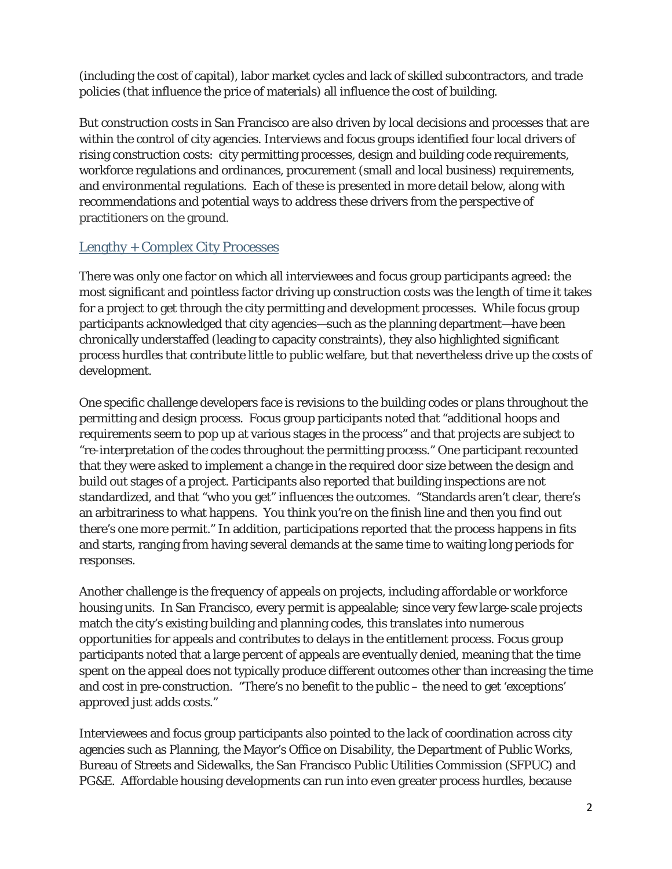(including the cost of capital), labor market cycles and lack of skilled subcontractors, and trade policies (that influence the price of materials) all influence the cost of building.

But construction costs in San Francisco are also driven by local decisions and processes that *are* within the control of city agencies. Interviews and focus groups identified four local drivers of rising construction costs: city permitting processes, design and building code requirements, workforce regulations and ordinances, procurement (small and local business) requirements, and environmental regulations. Each of these is presented in more detail below, along with recommendations and potential ways to address these drivers from the perspective of practitioners on the ground.

# Lengthy + Complex City Processes

There was only one factor on which all interviewees and focus group participants agreed: the most significant and pointless factor driving up construction costs was the length of time it takes for a project to get through the city permitting and development processes. While focus group participants acknowledged that city agencies—such as the planning department—have been chronically understaffed (leading to capacity constraints), they also highlighted significant process hurdles that contribute little to public welfare, but that nevertheless drive up the costs of development.

One specific challenge developers face is revisions to the building codes or plans throughout the permitting and design process. Focus group participants noted that "additional hoops and requirements seem to pop up at various stages in the process" and that projects are subject to "re-interpretation of the codes throughout the permitting process." One participant recounted that they were asked to implement a change in the required door size between the design and build out stages of a project. Participants also reported that building inspections are not standardized, and that "who you get" influences the outcomes. "Standards aren't clear, there's an arbitrariness to what happens. You think you're on the finish line and then you find out there's one more permit." In addition, participations reported that the process happens in fits and starts, ranging from having several demands at the same time to waiting long periods for responses.

Another challenge is the frequency of appeals on projects, including affordable or workforce housing units. In San Francisco, every permit is appealable; since very few large-scale projects match the city's existing building and planning codes, this translates into numerous opportunities for appeals and contributes to delays in the entitlement process. Focus group participants noted that a large percent of appeals are eventually denied, meaning that the time spent on the appeal does not typically produce different outcomes other than increasing the time and cost in pre-construction. "There's no benefit to the public – the need to get 'exceptions' approved just adds costs."

Interviewees and focus group participants also pointed to the lack of coordination across city agencies such as Planning, the Mayor's Office on Disability, the Department of Public Works, Bureau of Streets and Sidewalks, the San Francisco Public Utilities Commission (SFPUC) and PG&E. Affordable housing developments can run into even greater process hurdles, because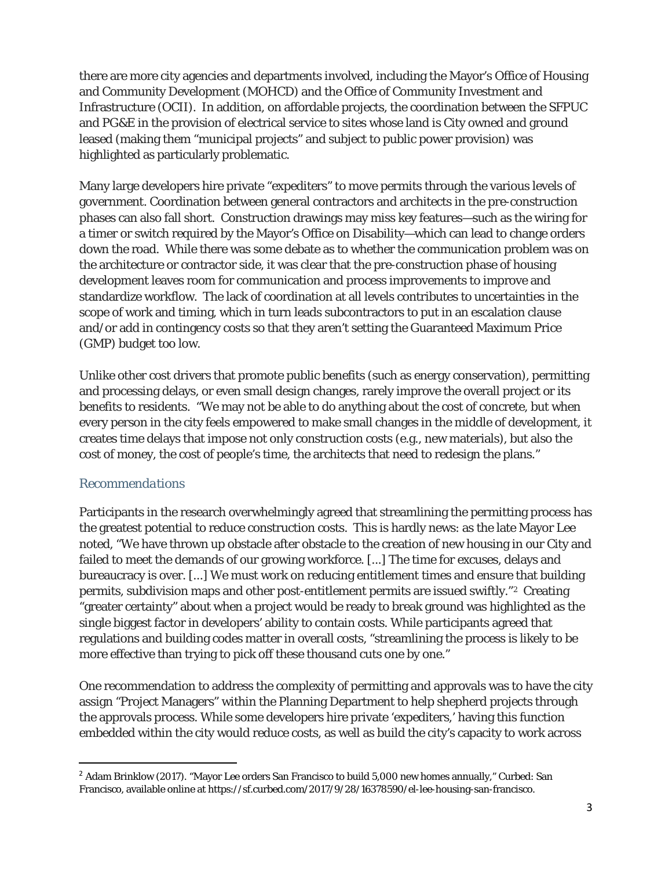there are more city agencies and departments involved, including the Mayor's Office of Housing and Community Development (MOHCD) and the Office of Community Investment and Infrastructure (OCII). In addition, on affordable projects, the coordination between the SFPUC and PG&E in the provision of electrical service to sites whose land is City owned and ground leased (making them "municipal projects" and subject to public power provision) was highlighted as particularly problematic.

Many large developers hire private "expediters" to move permits through the various levels of government. Coordination between general contractors and architects in the pre-construction phases can also fall short. Construction drawings may miss key features—such as the wiring for a timer or switch required by the Mayor's Office on Disability—which can lead to change orders down the road. While there was some debate as to whether the communication problem was on the architecture or contractor side, it was clear that the pre-construction phase of housing development leaves room for communication and process improvements to improve and standardize workflow. The lack of coordination at all levels contributes to uncertainties in the scope of work and timing, which in turn leads subcontractors to put in an escalation clause and/or add in contingency costs so that they aren't setting the Guaranteed Maximum Price (GMP) budget too low.

Unlike other cost drivers that promote public benefits (such as energy conservation), permitting and processing delays, or even small design changes, rarely improve the overall project or its benefits to residents. "We may not be able to do anything about the cost of concrete, but when every person in the city feels empowered to make small changes in the middle of development, it creates time delays that impose not only construction costs (e.g., new materials), but also the cost of money, the cost of people's time, the architects that need to redesign the plans."

### *Recommendations*

Participants in the research overwhelmingly agreed that streamlining the permitting process has the greatest potential to reduce construction costs. This is hardly news: as the late Mayor Lee noted, "We have thrown up obstacle after obstacle to the creation of new housing in our City and failed to meet the demands of our growing workforce. [...] The time for excuses, delays and bureaucracy is over. [...] We must work on reducing entitlement times and ensure that building permits, subdivision maps and other post-entitlement permits are issued swiftly."[2](#page-2-0) Creating "greater certainty" about when a project would be ready to break ground was highlighted as the single biggest factor in developers' ability to contain costs. While participants agreed that regulations and building codes matter in overall costs, "streamlining the process is likely to be more effective than trying to pick off these thousand cuts one by one."

One recommendation to address the complexity of permitting and approvals was to have the city assign "Project Managers" within the Planning Department to help shepherd projects through the approvals process. While some developers hire private 'expediters,' having this function embedded within the city would reduce costs, as well as build the city's capacity to work across

<span id="page-2-0"></span> <sup>2</sup> Adam Brinklow (2017). "Mayor Lee orders San Francisco to build 5,000 new homes annually," Curbed: San Francisco, available online at https://sf.curbed.com/2017/9/28/16378590/el-lee-housing-san-francisco.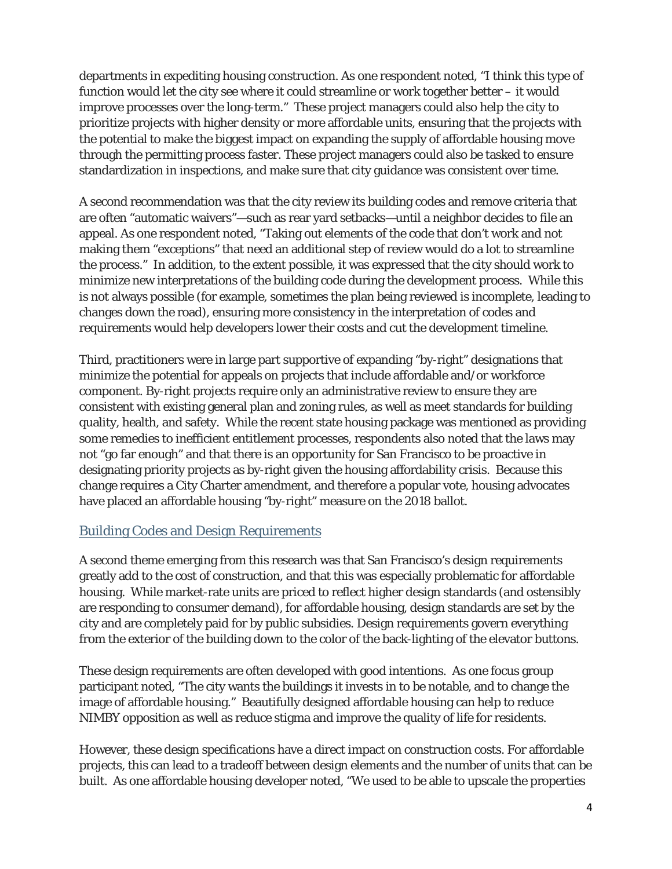departments in expediting housing construction. As one respondent noted, "I think this type of function would let the city see where it could streamline or work together better – it would improve processes over the long-term." These project managers could also help the city to prioritize projects with higher density or more affordable units, ensuring that the projects with the potential to make the biggest impact on expanding the supply of affordable housing move through the permitting process faster. These project managers could also be tasked to ensure standardization in inspections, and make sure that city guidance was consistent over time.

A second recommendation was that the city review its building codes and remove criteria that are often "automatic waivers"—such as rear yard setbacks—until a neighbor decides to file an appeal. As one respondent noted, "Taking out elements of the code that don't work and not making them "exceptions" that need an additional step of review would do a lot to streamline the process." In addition, to the extent possible, it was expressed that the city should work to minimize new interpretations of the building code during the development process. While this is not always possible (for example, sometimes the plan being reviewed is incomplete, leading to changes down the road), ensuring more consistency in the interpretation of codes and requirements would help developers lower their costs and cut the development timeline.

Third, practitioners were in large part supportive of expanding "by-right" designations that minimize the potential for appeals on projects that include affordable and/or workforce component. By-right projects require only an administrative review to ensure they are consistent with existing general plan and zoning rules, as well as meet standards for building quality, health, and safety. While the recent state housing package was mentioned as providing some remedies to inefficient entitlement processes, respondents also noted that the laws may not "go far enough" and that there is an opportunity for San Francisco to be proactive in designating priority projects as by-right given the housing affordability crisis. Because this change requires a City Charter amendment, and therefore a popular vote, housing advocates have placed an affordable housing "by-right" measure on the 2018 ballot.

### Building Codes and Design Requirements

A second theme emerging from this research was that San Francisco's design requirements greatly add to the cost of construction, and that this was especially problematic for affordable housing. While market-rate units are priced to reflect higher design standards (and ostensibly are responding to consumer demand), for affordable housing, design standards are set by the city and are completely paid for by public subsidies. Design requirements govern everything from the exterior of the building down to the color of the back-lighting of the elevator buttons.

These design requirements are often developed with good intentions. As one focus group participant noted, "The city wants the buildings it invests in to be notable, and to change the image of affordable housing." Beautifully designed affordable housing can help to reduce NIMBY opposition as well as reduce stigma and improve the quality of life for residents.

However, these design specifications have a direct impact on construction costs. For affordable projects, this can lead to a tradeoff between design elements and the number of units that can be built. As one affordable housing developer noted, "We used to be able to upscale the properties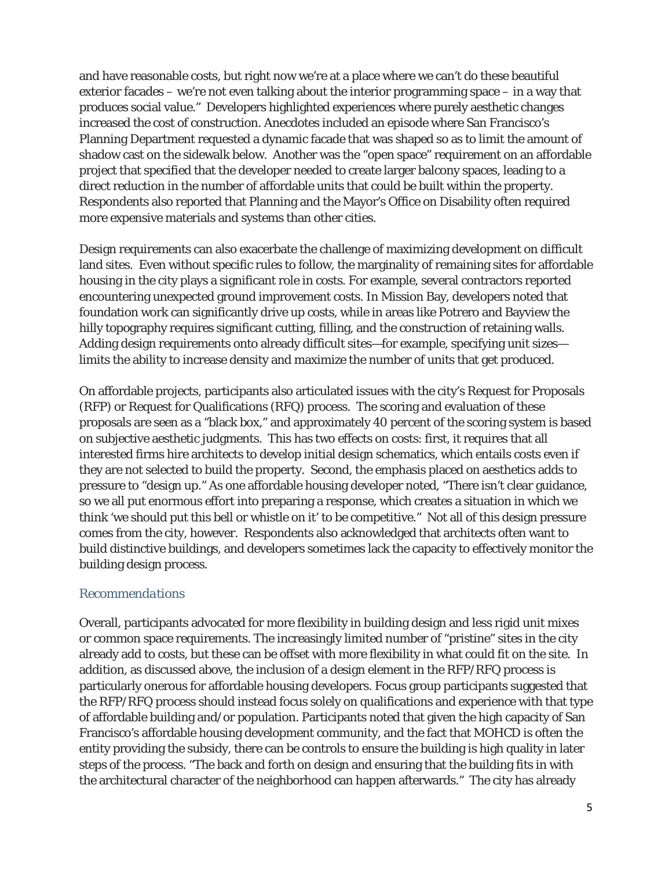and have reasonable costs, but right now we're at a place where we can't do these beautiful exterior facades – we're not even talking about the interior programming space – in a way that produces social value." Developers highlighted experiences where purely aesthetic changes increased the cost of construction. Anecdotes included an episode where San Francisco's Planning Department requested a dynamic facade that was shaped so as to limit the amount of shadow cast on the sidewalk below. Another was the "open space" requirement on an affordable project that specified that the developer needed to create larger balcony spaces, leading to a direct reduction in the number of affordable units that could be built within the property. Respondents also reported that Planning and the Mayor's Office on Disability often required more expensive materials and systems than other cities.

Design requirements can also exacerbate the challenge of maximizing development on difficult land sites. Even without specific rules to follow, the marginality of remaining sites for affordable housing in the city plays a significant role in costs. For example, several contractors reported encountering unexpected ground improvement costs. In Mission Bay, developers noted that foundation work can significantly drive up costs, while in areas like Potrero and Bayview the hilly topography requires significant cutting, filling, and the construction of retaining walls. Adding design requirements onto already difficult sites—for example, specifying unit sizes limits the ability to increase density and maximize the number of units that get produced.

On affordable projects, participants also articulated issues with the city's Request for Proposals (RFP) or Request for Qualifications (RFQ) process. The scoring and evaluation of these proposals are seen as a "black box," and approximately 40 percent of the scoring system is based on subjective aesthetic judgments. This has two effects on costs: first, it requires that all interested firms hire architects to develop initial design schematics, which entails costs even if they are not selected to build the property. Second, the emphasis placed on aesthetics adds to pressure to "design up." As one affordable housing developer noted, "There isn't clear guidance, so we all put enormous effort into preparing a response, which creates a situation in which we think 'we should put this bell or whistle on it' to be competitive." Not all of this design pressure comes from the city, however. Respondents also acknowledged that architects often want to build distinctive buildings, and developers sometimes lack the capacity to effectively monitor the building design process.

#### *Recommendations*

Overall, participants advocated for more flexibility in building design and less rigid unit mixes or common space requirements. The increasingly limited number of "pristine" sites in the city already add to costs, but these can be offset with more flexibility in what could fit on the site. In addition, as discussed above, the inclusion of a design element in the RFP/RFQ process is particularly onerous for affordable housing developers. Focus group participants suggested that the RFP/RFQ process should instead focus solely on qualifications and experience with that type of affordable building and/or population. Participants noted that given the high capacity of San Francisco's affordable housing development community, and the fact that MOHCD is often the entity providing the subsidy, there can be controls to ensure the building is high quality in later steps of the process. "The back and forth on design and ensuring that the building fits in with the architectural character of the neighborhood can happen afterwards." The city has already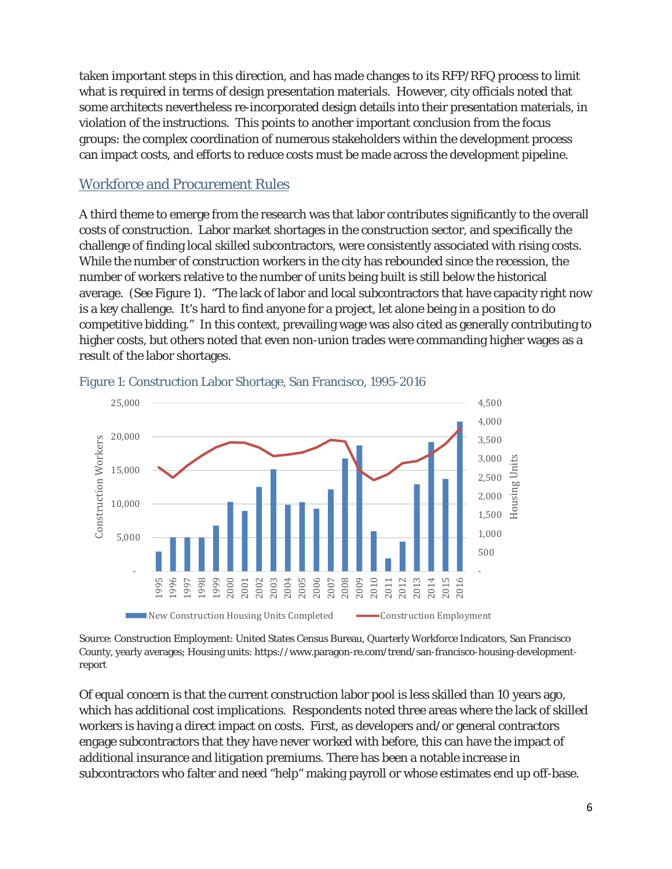taken important steps in this direction, and has made changes to its RFP/RFQ process to limit what is required in terms of design presentation materials. However, city officials noted that some architects nevertheless re-incorporated design details into their presentation materials, in violation of the instructions. This points to another important conclusion from the focus groups: the complex coordination of numerous stakeholders within the development process can impact costs, and efforts to reduce costs must be made across the development pipeline.

### Workforce and Procurement Rules

A third theme to emerge from the research was that labor contributes significantly to the overall costs of construction. Labor market shortages in the construction sector, and specifically the challenge of finding local skilled subcontractors, were consistently associated with rising costs. While the number of construction workers in the city has rebounded since the recession, the number of workers relative to the number of units being built is still below the historical average. (See Figure 1). "The lack of labor and local subcontractors that have capacity right now is a key challenge. It's hard to find anyone for a project, let alone being in a position to do competitive bidding." In this context, prevailing wage was also cited as generally contributing to higher costs, but others noted that even non-union trades were commanding higher wages as a result of the labor shortages.



Figure 1: Construction Labor Shortage, San Francisco, 1995-2016

Source: Construction Employment: United States Census Bureau, Quarterly Workforce Indicators, San Francisco County, yearly averages; Housing units: https://www.paragon-re.com/trend/san-francisco-housing-developmentreport

Of equal concern is that the current construction labor pool is less skilled than 10 years ago, which has additional cost implications. Respondents noted three areas where the lack of skilled workers is having a direct impact on costs. First, as developers and/or general contractors engage subcontractors that they have never worked with before, this can have the impact of additional insurance and litigation premiums. There has been a notable increase in subcontractors who falter and need "help" making payroll or whose estimates end up off-base.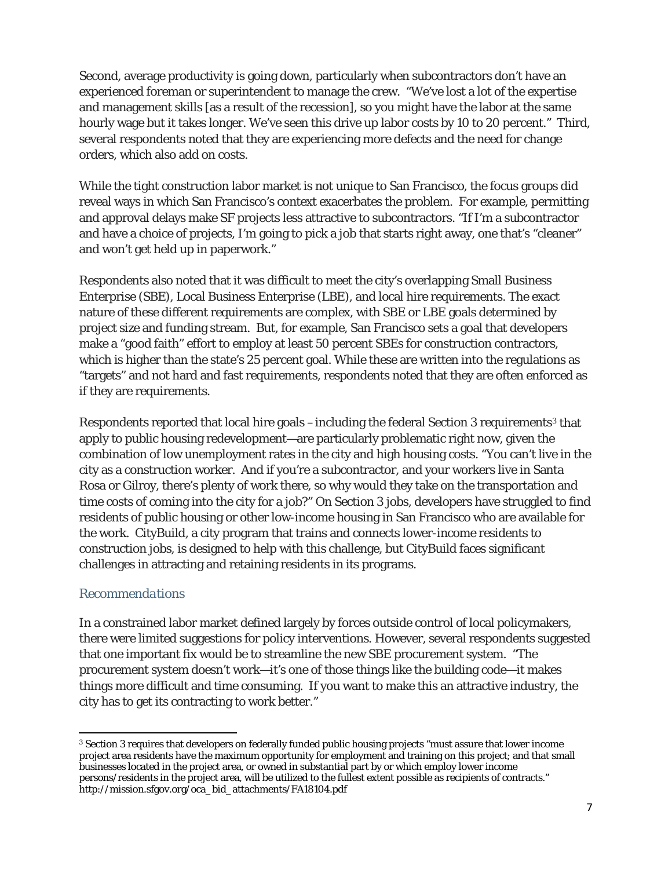Second, average productivity is going down, particularly when subcontractors don't have an experienced foreman or superintendent to manage the crew. "We've lost a lot of the expertise and management skills [as a result of the recession], so you might have the labor at the same hourly wage but it takes longer. We've seen this drive up labor costs by 10 to 20 percent." Third, several respondents noted that they are experiencing more defects and the need for change orders, which also add on costs.

While the tight construction labor market is not unique to San Francisco, the focus groups did reveal ways in which San Francisco's context exacerbates the problem. For example, permitting and approval delays make SF projects less attractive to subcontractors. "If I'm a subcontractor and have a choice of projects, I'm going to pick a job that starts right away, one that's "cleaner" and won't get held up in paperwork."

Respondents also noted that it was difficult to meet the city's overlapping Small Business Enterprise (SBE), Local Business Enterprise (LBE), and local hire requirements. The exact nature of these different requirements are complex, with SBE or LBE goals determined by project size and funding stream. But, for example, San Francisco sets a goal that developers make a "good faith" effort to employ at least 50 percent SBEs for construction contractors, which is higher than the state's 25 percent goal. While these are written into the regulations as "targets" and not hard and fast requirements, respondents noted that they are often enforced as if they are requirements.

Respondents reported that local hire goals –including the federal Section [3](#page-6-0) requirements<sup>3</sup> that apply to public housing redevelopment—are particularly problematic right now, given the combination of low unemployment rates in the city and high housing costs. "You can't live in the city as a construction worker. And if you're a subcontractor, and your workers live in Santa Rosa or Gilroy, there's plenty of work there, so why would they take on the transportation and time costs of coming into the city for a job?" On Section 3 jobs, developers have struggled to find residents of public housing or other low-income housing in San Francisco who are available for the work. CityBuild, a city program that trains and connects lower-income residents to construction jobs, is designed to help with this challenge, but CityBuild faces significant challenges in attracting and retaining residents in its programs.

### *Recommendations*

l

In a constrained labor market defined largely by forces outside control of local policymakers, there were limited suggestions for policy interventions. However, several respondents suggested that one important fix would be to streamline the new SBE procurement system. "The procurement system doesn't work—it's one of those things like the building code—it makes things more difficult and time consuming. If you want to make this an attractive industry, the city has to get its contracting to work better."

<span id="page-6-0"></span><sup>3</sup> Section 3 requires that developers on federally funded public housing projects "must assure that lower income project area residents have the maximum opportunity for employment and training on this project; and that small businesses located in the project area, or owned in substantial part by or which employ lower income persons/residents in the project area, will be utilized to the fullest extent possible as recipients of contracts." http://mission.sfgov.org/oca\_bid\_attachments/FA18104.pdf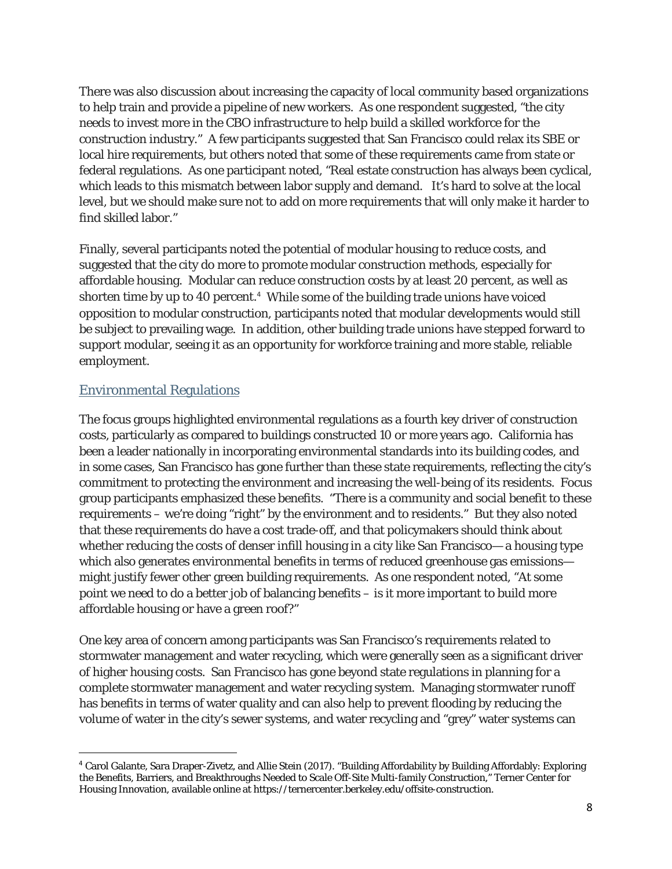There was also discussion about increasing the capacity of local community based organizations to help train and provide a pipeline of new workers. As one respondent suggested, "the city needs to invest more in the CBO infrastructure to help build a skilled workforce for the construction industry." A few participants suggested that San Francisco could relax its SBE or local hire requirements, but others noted that some of these requirements came from state or federal regulations. As one participant noted, "Real estate construction has always been cyclical, which leads to this mismatch between labor supply and demand. It's hard to solve at the local level, but we should make sure not to add on more requirements that will only make it harder to find skilled labor."

Finally, several participants noted the potential of modular housing to reduce costs, and suggested that the city do more to promote modular construction methods, especially for affordable housing. Modular can reduce construction costs by at least 20 percent, as well as shorten time by up to 40 percent. [4](#page-7-0) While some of the building trade unions have voiced opposition to modular construction, participants noted that modular developments would still be subject to prevailing wage. In addition, other building trade unions have stepped forward to support modular, seeing it as an opportunity for workforce training and more stable, reliable employment.

## Environmental Regulations

The focus groups highlighted environmental regulations as a fourth key driver of construction costs, particularly as compared to buildings constructed 10 or more years ago. California has been a leader nationally in incorporating environmental standards into its building codes, and in some cases, San Francisco has gone further than these state requirements, reflecting the city's commitment to protecting the environment and increasing the well-being of its residents. Focus group participants emphasized these benefits. "There is a community and social benefit to these requirements – we're doing "right" by the environment and to residents." But they also noted that these requirements do have a cost trade-off, and that policymakers should think about whether reducing the costs of denser infill housing in a city like San Francisco— a housing type which also generates environmental benefits in terms of reduced greenhouse gas emissions might justify fewer *other* green building requirements. As one respondent noted, "At some point we need to do a better job of balancing benefits – is it more important to build more affordable housing or have a green roof?"

One key area of concern among participants was San Francisco's requirements related to stormwater management and water recycling, which were generally seen as a significant driver of higher housing costs. San Francisco has gone beyond state regulations in planning for a complete stormwater management and water recycling system. Managing stormwater runoff has benefits in terms of water quality and can also help to prevent flooding by reducing the volume of water in the city's sewer systems, and water recycling and "grey" water systems can

<span id="page-7-0"></span> <sup>4</sup> Carol Galante, Sara Draper-Zivetz, and Allie Stein (2017). "Building Affordability by Building Affordably: Exploring the Benefits, Barriers, and Breakthroughs Needed to Scale Off-Site Multi-family Construction," Terner Center for Housing Innovation, available online at https://ternercenter.berkeley.edu/offsite-construction.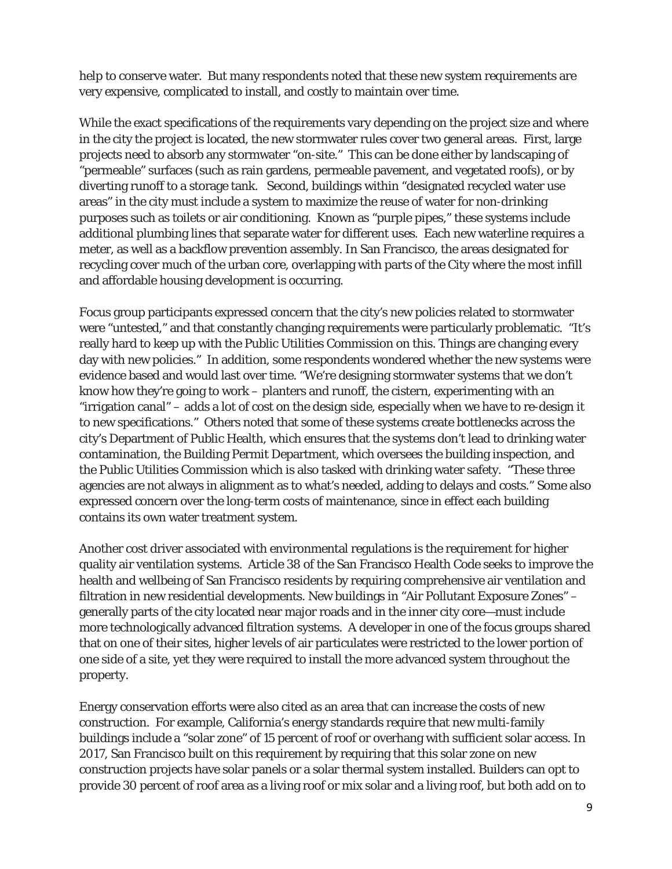help to conserve water. But many respondents noted that these new system requirements are very expensive, complicated to install, and costly to maintain over time.

While the exact specifications of the requirements vary depending on the project size and where in the city the project is located, the new stormwater rules cover two general areas. First, large projects need to absorb any stormwater "on-site." This can be done either by landscaping of "permeable" surfaces (such as rain gardens, permeable pavement, and vegetated roofs), or by diverting runoff to a storage tank. Second, buildings within "designated recycled water use areas" in the city must include a system to maximize the reuse of water for non-drinking purposes such as toilets or air conditioning. Known as "purple pipes," these systems include additional plumbing lines that separate water for different uses. Each new waterline requires a meter, as well as a backflow prevention assembly. In San Francisco, the areas designated for recycling cover much of the urban core, overlapping with parts of the City where the most infill and affordable housing development is occurring.

Focus group participants expressed concern that the city's new policies related to stormwater were "untested," and that constantly changing requirements were particularly problematic. "It's really hard to keep up with the Public Utilities Commission on this. Things are changing every day with new policies." In addition, some respondents wondered whether the new systems were evidence based and would last over time. "We're designing stormwater systems that we don't know how they're going to work – planters and runoff, the cistern, experimenting with an "irrigation canal" – adds a lot of cost on the design side, especially when we have to re-design it to new specifications." Others noted that some of these systems create bottlenecks across the city's Department of Public Health, which ensures that the systems don't lead to drinking water contamination, the Building Permit Department, which oversees the building inspection, and the Public Utilities Commission which is also tasked with drinking water safety. "These three agencies are not always in alignment as to what's needed, adding to delays and costs." Some also expressed concern over the long-term costs of maintenance, since in effect each building contains its own water treatment system.

Another cost driver associated with environmental regulations is the requirement for higher quality air ventilation systems. Article 38 of the San Francisco Health Code seeks to improve the health and wellbeing of San Francisco residents by requiring comprehensive air ventilation and filtration in new residential developments. New buildings in "Air Pollutant Exposure Zones" – generally parts of the city located near major roads and in the inner city core—must include more technologically advanced filtration systems. A developer in one of the focus groups shared that on one of their sites, higher levels of air particulates were restricted to the lower portion of one side of a site, yet they were required to install the more advanced system throughout the property.

Energy conservation efforts were also cited as an area that can increase the costs of new construction. For example, California's energy standards require that new multi-family buildings include a "solar zone" of 15 percent of roof or overhang with sufficient solar access. In 2017, San Francisco built on this requirement by requiring that this solar zone on new construction projects have solar panels or a solar thermal system installed. Builders can opt to provide 30 percent of roof area as a living roof or mix solar and a living roof, but both add on to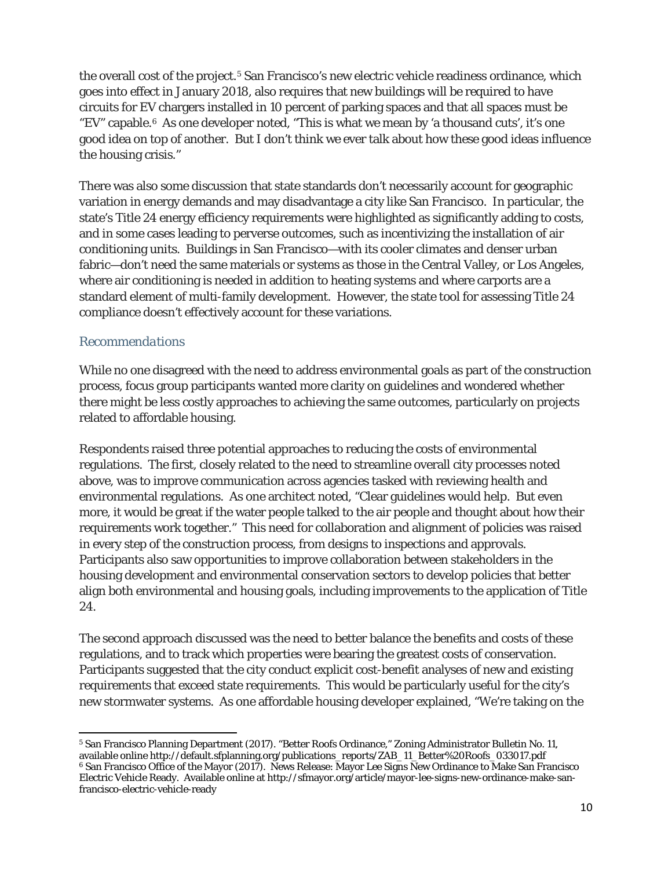the overall cost of the project.<sup>[5](#page-9-0)</sup> San Francisco's new electric vehicle readiness ordinance, which goes into effect in January 2018, also requires that new buildings will be required to have circuits for EV chargers installed in 10 percent of parking spaces and that all spaces must be "EV" capable.[6](#page-9-1) As one developer noted, "This is what we mean by 'a thousand cuts', it's one good idea on top of another. But I don't think we ever talk about how these good ideas influence the housing crisis."

There was also some discussion that state standards don't necessarily account for geographic variation in energy demands and may disadvantage a city like San Francisco. In particular, the state's Title 24 energy efficiency requirements were highlighted as significantly adding to costs, and in some cases leading to perverse outcomes, such as incentivizing the installation of air conditioning units. Buildings in San Francisco—with its cooler climates and denser urban fabric—don't need the same materials or systems as those in the Central Valley, or Los Angeles, where air conditioning is needed in addition to heating systems and where carports are a standard element of multi-family development. However, the state tool for assessing Title 24 compliance doesn't effectively account for these variations.

#### *Recommendations*

l

While no one disagreed with the need to address environmental goals as part of the construction process, focus group participants wanted more clarity on guidelines and wondered whether there might be less costly approaches to achieving the same outcomes, particularly on projects related to affordable housing.

Respondents raised three potential approaches to reducing the costs of environmental regulations. The first, closely related to the need to streamline overall city processes noted above, was to improve communication across agencies tasked with reviewing health and environmental regulations. As one architect noted, "Clear guidelines would help. But even more, it would be great if the water people talked to the air people and thought about how their requirements work together." This need for collaboration and alignment of policies was raised in every step of the construction process, from designs to inspections and approvals. Participants also saw opportunities to improve collaboration between stakeholders in the housing development and environmental conservation sectors to develop policies that better align both environmental and housing goals, including improvements to the application of Title 24.

The second approach discussed was the need to better balance the benefits and costs of these regulations, and to track which properties were bearing the greatest costs of conservation. Participants suggested that the city conduct explicit cost-benefit analyses of new and existing requirements that exceed state requirements. This would be particularly useful for the city's new stormwater systems. As one affordable housing developer explained, "We're taking on the

<span id="page-9-1"></span><span id="page-9-0"></span><sup>5</sup> San Francisco Planning Department (2017). "Better Roofs Ordinance," Zoning Administrator Bulletin No. 11, available online http://default.sfplanning.org/publications\_reports/ZAB\_11\_Better%20Roofs\_033017.pdf <sup>6</sup> San Francisco Office of the Mayor (2017). News Release: Mayor Lee Signs New Ordinance to Make San Francisco Electric Vehicle Ready. Available online at http://sfmayor.org/article/mayor-lee-signs-new-ordinance-make-sanfrancisco-electric-vehicle-ready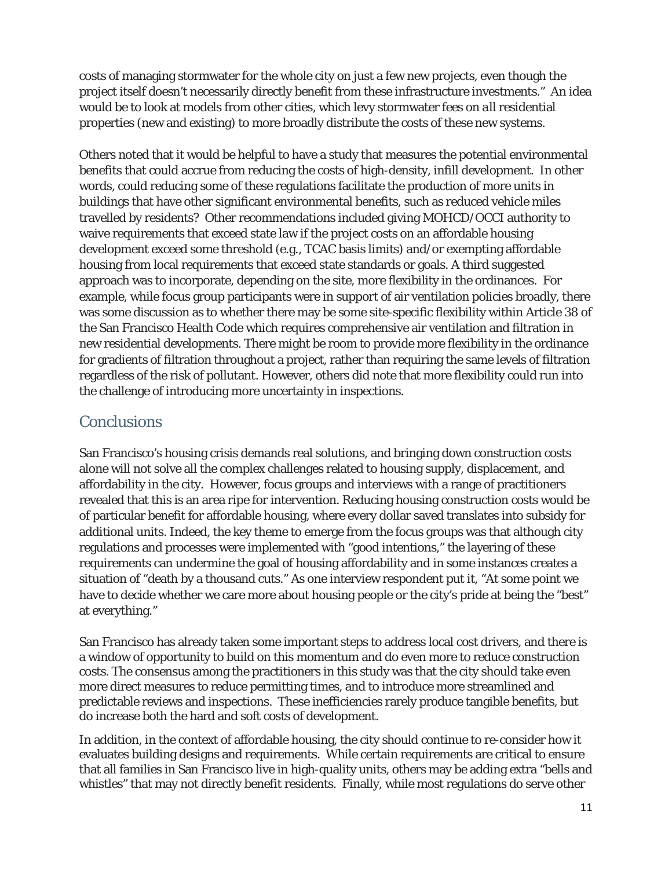costs of managing stormwater for the whole city on just a few new projects, even though the project itself doesn't necessarily directly benefit from these infrastructure investments." An idea would be to look at models from other cities, which levy stormwater fees on *all* residential properties (new and existing) to more broadly distribute the costs of these new systems.

Others noted that it would be helpful to have a study that measures the potential environmental benefits that could accrue from reducing the costs of high-density, infill development. In other words, could reducing some of these regulations facilitate the production of more units in buildings that have other significant environmental benefits, such as reduced vehicle miles travelled by residents? Other recommendations included giving MOHCD/OCCI authority to waive requirements that exceed state law if the project costs on an affordable housing development exceed some threshold (e.g., TCAC basis limits) and/or exempting affordable housing from local requirements that exceed state standards or goals. A third suggested approach was to incorporate, depending on the site, more flexibility in the ordinances. For example, while focus group participants were in support of air ventilation policies broadly, there was some discussion as to whether there may be some site-specific flexibility within Article 38 of the San Francisco Health Code which requires comprehensive air ventilation and filtration in new residential developments. There might be room to provide more flexibility in the ordinance for gradients of filtration throughout a project, rather than requiring the same levels of filtration regardless of the risk of pollutant. However, others did note that more flexibility could run into the challenge of introducing more uncertainty in inspections.

# **Conclusions**

San Francisco's housing crisis demands real solutions, and bringing down construction costs alone will not solve all the complex challenges related to housing supply, displacement, and affordability in the city. However, focus groups and interviews with a range of practitioners revealed that this is an area ripe for intervention. Reducing housing construction costs would be of particular benefit for affordable housing, where every dollar saved translates into subsidy for additional units. Indeed, the key theme to emerge from the focus groups was that although city regulations and processes were implemented with "good intentions," the layering of these requirements can undermine the goal of housing affordability and in some instances creates a situation of "death by a thousand cuts." As one interview respondent put it, "At some point we have to decide whether we care more about housing people or the city's pride at being the "best" at everything."

San Francisco has already taken some important steps to address local cost drivers, and there is a window of opportunity to build on this momentum and do even more to reduce construction costs. The consensus among the practitioners in this study was that the city should take even more direct measures to reduce permitting times, and to introduce more streamlined and predictable reviews and inspections. These inefficiencies rarely produce tangible benefits, but do increase both the hard and soft costs of development.

In addition, in the context of affordable housing, the city should continue to re-consider how it evaluates building designs and requirements. While certain requirements are critical to ensure that all families in San Francisco live in high-quality units, others may be adding extra "bells and whistles" that may not directly benefit residents. Finally, while most regulations do serve other